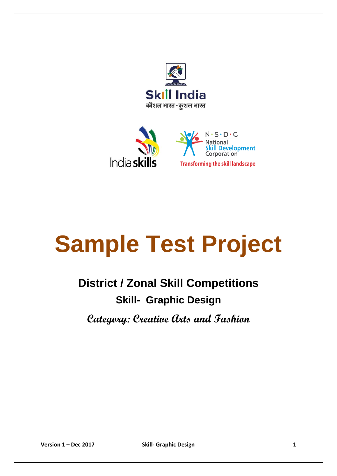



# **Sample Test Project**

## **District / Zonal Skill Competitions Skill- Graphic Design**

**Category: Creative Arts and Fashion**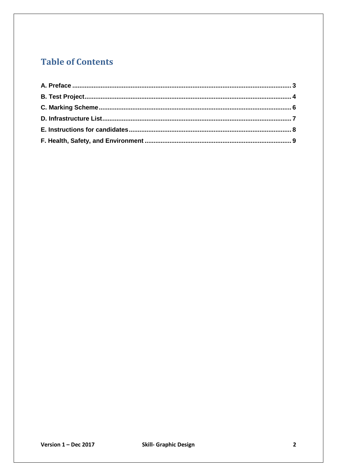## **Table of Contents**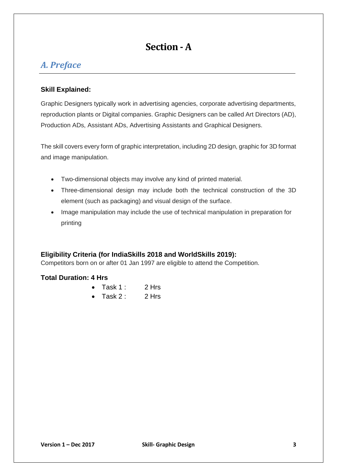## **Section -A**

### <span id="page-2-0"></span>*A. Preface*

#### **Skill Explained:**

Graphic Designers typically work in advertising agencies, corporate advertising departments, reproduction plants or Digital companies. Graphic Designers can be called Art Directors (AD), Production ADs, Assistant ADs, Advertising Assistants and Graphical Designers.

The skill covers every form of graphic interpretation, including 2D design, graphic for 3D format and image manipulation.

- Two-dimensional objects may involve any kind of printed material.
- Three-dimensional design may include both the technical construction of the 3D element (such as packaging) and visual design of the surface.
- Image manipulation may include the use of technical manipulation in preparation for printing

#### **Eligibility Criteria (for IndiaSkills 2018 and WorldSkills 2019):**

Competitors born on or after 01 Jan 1997 are eligible to attend the Competition.

#### **Total Duration: 4 Hrs**

- $\bullet$  Task 1 : 2 Hrs
- Task 2: 2 Hrs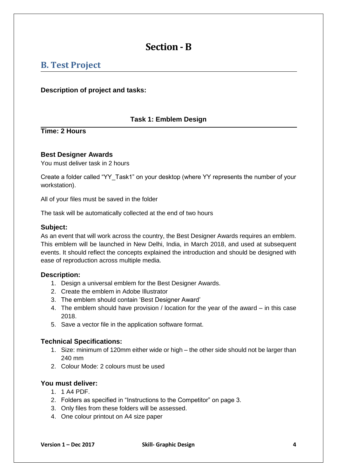## **Section - B**

## <span id="page-3-0"></span>**B. Test Project**

#### **Description of project and tasks:**

#### **Task 1: Emblem Design**

**Time: 2 Hours** 

#### **Best Designer Awards**

You must deliver task in 2 hours

Create a folder called "YY\_Task1" on your desktop (where YY represents the number of your workstation).

All of your files must be saved in the folder

The task will be automatically collected at the end of two hours

#### **Subject:**

As an event that will work across the country, the Best Designer Awards requires an emblem. This emblem will be launched in New Delhi, India, in March 2018, and used at subsequent events. It should reflect the concepts explained the introduction and should be designed with ease of reproduction across multiple media.

#### **Description:**

- 1. Design a universal emblem for the Best Designer Awards.
- 2. Create the emblem in Adobe Illustrator
- 3. The emblem should contain 'Best Designer Award'
- 4. The emblem should have provision / location for the year of the award in this case 2018.
- 5. Save a vector file in the application software format.

#### **Technical Specifications:**

- 1. Size: minimum of 120mm either wide or high the other side should not be larger than 240 mm
- 2. Colour Mode: 2 colours must be used

#### **You must deliver:**

- 1. 1 A4 PDF.
- 2. Folders as specified in "Instructions to the Competitor" on page 3.
- 3. Only files from these folders will be assessed.
- 4. One colour printout on A4 size paper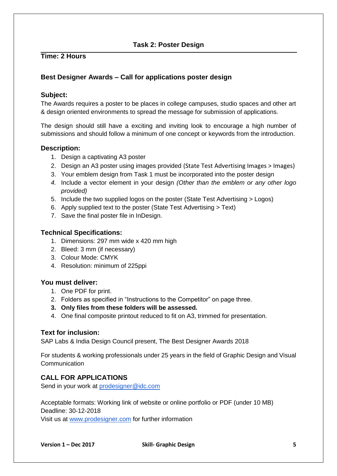#### **Task 2: Poster Design**

#### **Time: 2 Hours**

#### **Best Designer Awards – Call for applications poster design**

#### **Subject:**

The Awards requires a poster to be places in college campuses, studio spaces and other art & design oriented environments to spread the message for submission of applications.

The design should still have a exciting and inviting look to encourage a high number of submissions and should follow a minimum of one concept or keywords from the introduction.

#### **Description:**

- 1. Design a captivating A3 poster
- 2. Design an A3 poster using images provided (State Test Advertising Images > Images)
- 3. Your emblem design from Task 1 must be incorporated into the poster design
- *4.* Include a vector element in your design *(Other than the emblem or any other logo provided)*
- 5. Include the two supplied logos on the poster (State Test Advertising > Logos)
- 6. Apply supplied text to the poster (State Test Advertising > Text)
- 7. Save the final poster file in InDesign.

#### **Technical Specifications:**

- 1. Dimensions: 297 mm wide x 420 mm high
- 2. Bleed: 3 mm (if necessary)
- 3. Colour Mode: CMYK
- 4. Resolution: minimum of 225ppi

#### **You must deliver:**

- 1. One PDF for print.
- 2. Folders as specified in "Instructions to the Competitor" on page three.
- **3. Only files from these folders will be assessed.**
- 4. One final composite printout reduced to fit on A3, trimmed for presentation.

#### **Text for inclusion:**

SAP Labs & India Design Council present, The Best Designer Awards 2018

For students & working professionals under 25 years in the field of Graphic Design and Visual **Communication** 

#### **CALL FOR APPLICATIONS**

Send in your work at [prodesigner@idc.com](mailto:prodesigner@idc.com)

Acceptable formats: Working link of website or online portfolio or PDF (under 10 MB) Deadline: 30-12-2018

Visit us at [www.prodesigner.com](http://www.prodesigner.com/) for further information

**Version 1 – Dec 2017 Skill- Graphic Design 5**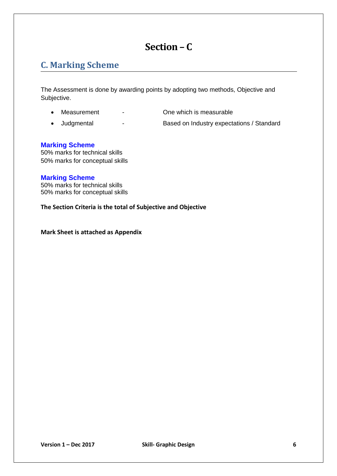## **Section – C**

## <span id="page-5-0"></span>**C. Marking Scheme**

The Assessment is done by awarding points by adopting two methods, Objective and Subjective.

- 
- Measurement Che which is measurable
- 
- Judgmental Based on Industry expectations / Standard

#### **Marking Scheme**

50% marks for technical skills 50% marks for conceptual skills

#### **Marking Scheme**

50% marks for technical skills 50% marks for conceptual skills

**The Section Criteria is the total of Subjective and Objective** 

**Mark Sheet is attached as Appendix**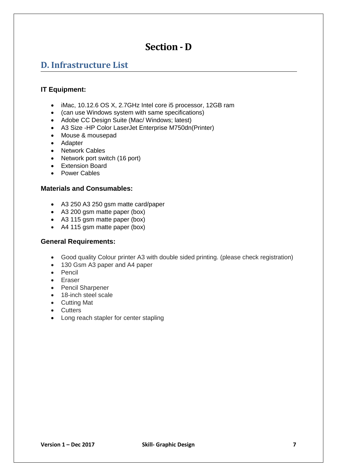## **Section - D**

## <span id="page-6-0"></span>**D. Infrastructure List**

#### **IT Equipment:**

- iMac, 10.12.6 OS X, 2.7GHz Intel core i5 processor, 12GB ram
- (can use Windows system with same specifications)
- Adobe CC Design Suite (Mac/ Windows; latest)
- A3 Size -HP Color LaserJet Enterprise M750dn(Printer)
- Mouse & mousepad
- Adapter
- Network Cables
- Network port switch (16 port)
- Extension Board
- Power Cables

#### **Materials and Consumables:**

- A3 250 A3 250 gsm matte card/paper
- A3 200 gsm matte paper (box)
- A3 115 gsm matte paper (box)
- A4 115 gsm matte paper (box)

#### **General Requirements:**

- Good quality Colour printer A3 with double sided printing. (please check registration)
- 130 Gsm A3 paper and A4 paper
- Pencil
- Eraser
- Pencil Sharpener
- 18-inch steel scale
- Cutting Mat
- Cutters
- Long reach stapler for center stapling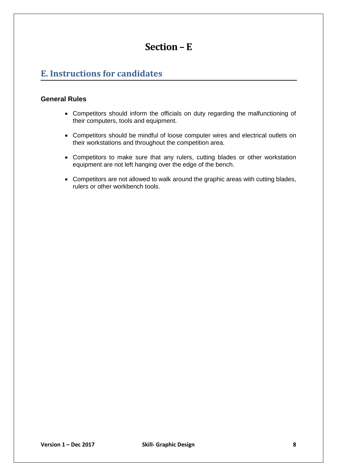## **Section – E**

## <span id="page-7-0"></span>**E. Instructions for candidates**

#### **General Rules**

- Competitors should inform the officials on duty regarding the malfunctioning of their computers, tools and equipment.
- Competitors should be mindful of loose computer wires and electrical outlets on their workstations and throughout the competition area.
- Competitors to make sure that any rulers, cutting blades or other workstation equipment are not left hanging over the edge of the bench.
- Competitors are not allowed to walk around the graphic areas with cutting blades, rulers or other workbench tools.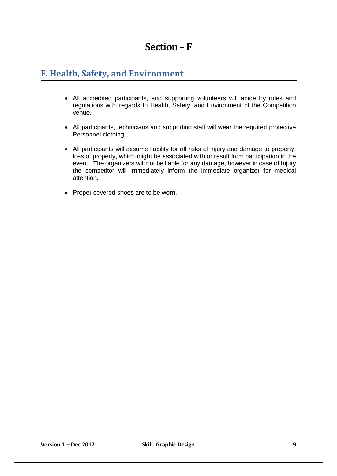## **Section – F**

## <span id="page-8-0"></span>**F. Health, Safety, and Environment**

- All accredited participants, and supporting volunteers will abide by rules and regulations with regards to Health, Safety, and Environment of the Competition venue.
- All participants, technicians and supporting staff will wear the required protective Personnel clothing.
- All participants will assume liability for all risks of injury and damage to property, loss of property, which might be associated with or result from participation in the event. The organizers will not be liable for any damage, however in case of Injury the competitor will immediately inform the immediate organizer for medical attention.
- Proper covered shoes are to be worn.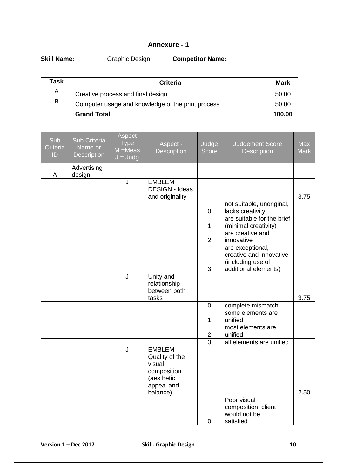#### **Annexure - 1**

**Skill Name: Graphic Design <b>Competitor Name: Competition** 

| Task | <b>Criteria</b>                                   | Mark   |  |  |  |
|------|---------------------------------------------------|--------|--|--|--|
| A    | Creative process and final design                 | 50.00  |  |  |  |
| B    | Computer usage and knowledge of the print process |        |  |  |  |
|      | <b>Grand Total</b>                                | 100.00 |  |  |  |

| Sub<br>Criteria<br>ID | Sub Criteria<br>Name or<br><b>Description</b> | Aspect<br><b>Type</b><br>$M = Meas$<br>$J = J u dq$ | Aspect -<br><b>Description</b>                                                                     | Judge<br><b>Score</b> | <b>Judgement Score</b><br><b>Description</b>                                             | <b>Max</b><br><b>Mark</b> |
|-----------------------|-----------------------------------------------|-----------------------------------------------------|----------------------------------------------------------------------------------------------------|-----------------------|------------------------------------------------------------------------------------------|---------------------------|
| A                     | Advertising<br>design                         |                                                     |                                                                                                    |                       |                                                                                          |                           |
|                       |                                               | $\overline{\mathsf{J}}$                             | <b>EMBLEM</b><br><b>DESIGN - Ideas</b><br>and originality                                          |                       |                                                                                          | 3.75                      |
|                       |                                               |                                                     |                                                                                                    | $\pmb{0}$             | not suitable, unoriginal,<br>lacks creativity                                            |                           |
|                       |                                               |                                                     |                                                                                                    | 1                     | are suitable for the brief<br>(minimal creativity)                                       |                           |
|                       |                                               |                                                     |                                                                                                    | $\overline{2}$        | are creative and<br>innovative                                                           |                           |
|                       |                                               |                                                     |                                                                                                    | 3                     | are exceptional,<br>creative and innovative<br>(including use of<br>additional elements) |                           |
|                       |                                               | J                                                   | Unity and<br>relationship<br>between both<br>tasks                                                 |                       |                                                                                          | 3.75                      |
|                       |                                               |                                                     |                                                                                                    | $\mathbf 0$           | complete mismatch                                                                        |                           |
|                       |                                               |                                                     |                                                                                                    | 1                     | some elements are<br>unified                                                             |                           |
|                       |                                               |                                                     |                                                                                                    | $\overline{2}$        | most elements are<br>unified                                                             |                           |
|                       |                                               |                                                     |                                                                                                    | $\overline{3}$        | all elements are unified                                                                 |                           |
|                       |                                               | J                                                   | <b>EMBLEM -</b><br>Quality of the<br>visual<br>composition<br>(aesthetic<br>appeal and<br>balance) |                       |                                                                                          | 2.50                      |
|                       |                                               |                                                     |                                                                                                    | $\pmb{0}$             | Poor visual<br>composition, client<br>would not be<br>satisfied                          |                           |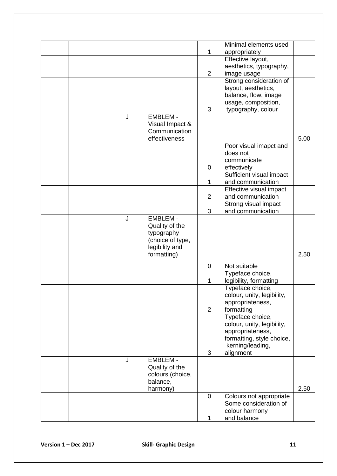|                        |   |                               |                | Minimal elements used                       |      |
|------------------------|---|-------------------------------|----------------|---------------------------------------------|------|
|                        |   |                               | $\mathbf{1}$   | appropriately                               |      |
|                        |   |                               |                | Effective layout,                           |      |
|                        |   |                               |                | aesthetics, typography,                     |      |
|                        |   |                               | $\overline{2}$ | image usage                                 |      |
|                        |   |                               |                | Strong consideration of                     |      |
|                        |   |                               |                | layout, aesthetics,                         |      |
|                        |   |                               |                | balance, flow, image<br>usage, composition, |      |
|                        |   |                               | 3              | typography, colour                          |      |
|                        | J | <b>EMBLEM -</b>               |                |                                             |      |
|                        |   | Visual Impact &               |                |                                             |      |
|                        |   | Communication                 |                |                                             |      |
|                        |   | effectiveness                 |                |                                             | 5.00 |
|                        |   |                               |                | Poor visual imapct and                      |      |
|                        |   |                               |                | does not                                    |      |
|                        |   |                               |                | communicate                                 |      |
|                        |   |                               | 0              | effectively                                 |      |
|                        |   |                               |                | Sufficient visual impact                    |      |
|                        |   |                               | 1              | and communication                           |      |
|                        |   |                               |                | Effective visual impact                     |      |
|                        |   |                               | $\overline{2}$ | and communication                           |      |
|                        |   |                               |                | Strong visual impact                        |      |
|                        |   |                               | 3              | and communication                           |      |
|                        | J | <b>EMBLEM -</b>               |                |                                             |      |
|                        |   | Quality of the                |                |                                             |      |
|                        |   | typography                    |                |                                             |      |
|                        |   | (choice of type,              |                |                                             |      |
|                        |   | legibility and<br>formatting) |                |                                             | 2.50 |
|                        |   |                               |                |                                             |      |
|                        |   |                               | 0              | Not suitable                                |      |
|                        |   |                               |                | Typeface choice,                            |      |
|                        |   |                               | 1              | legibility, formatting<br>Typeface choice,  |      |
|                        |   |                               |                | colour, unity, legibility,                  |      |
|                        |   |                               |                | appropriateness,                            |      |
|                        |   |                               | $\overline{2}$ | formatting                                  |      |
|                        |   |                               |                | Typeface choice,                            |      |
|                        |   |                               |                | colour, unity, legibility,                  |      |
|                        |   |                               |                | appropriateness,                            |      |
|                        |   |                               |                | formatting, style choice,                   |      |
|                        |   |                               |                | kerning/leading,                            |      |
|                        |   |                               | 3              | alignment                                   |      |
|                        | J | <b>EMBLEM -</b>               |                |                                             |      |
|                        |   | Quality of the                |                |                                             |      |
|                        |   | colours (choice,              |                |                                             |      |
|                        |   | balance,                      |                |                                             |      |
|                        |   | harmony)                      |                |                                             | 2.50 |
|                        |   |                               | $\mathbf 0$    | Colours not appropriate                     |      |
|                        |   |                               |                | Some consideration of                       |      |
|                        |   |                               | $\mathbf{1}$   | colour harmony<br>and balance               |      |
|                        |   |                               |                |                                             |      |
|                        |   |                               |                |                                             |      |
|                        |   |                               |                |                                             |      |
| Version $1 - Dec$ 2017 |   | <b>Skill- Graphic Design</b>  |                |                                             | 11   |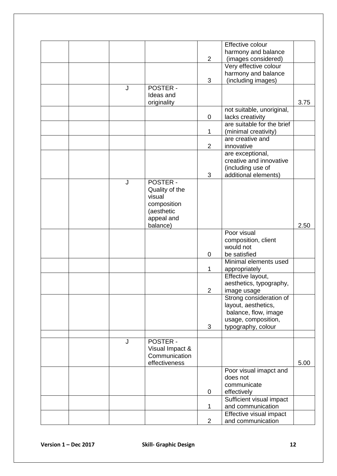|                        |   |                              |                | Effective colour           |      |
|------------------------|---|------------------------------|----------------|----------------------------|------|
|                        |   |                              |                | harmony and balance        |      |
|                        |   |                              | $\overline{2}$ | (images considered)        |      |
|                        |   |                              |                | Very effective colour      |      |
|                        |   |                              |                | harmony and balance        |      |
|                        |   |                              | 3              | (including images)         |      |
|                        | J | <b>POSTER -</b>              |                |                            |      |
|                        |   | Ideas and                    |                |                            |      |
|                        |   | originality                  |                |                            | 3.75 |
|                        |   |                              |                | not suitable, unoriginal,  |      |
|                        |   |                              | 0              | lacks creativity           |      |
|                        |   |                              |                | are suitable for the brief |      |
|                        |   |                              | 1              | (minimal creativity)       |      |
|                        |   |                              |                | are creative and           |      |
|                        |   |                              | $\overline{2}$ | innovative                 |      |
|                        |   |                              |                | are exceptional,           |      |
|                        |   |                              |                | creative and innovative    |      |
|                        |   |                              |                | (including use of          |      |
|                        |   |                              | 3              | additional elements)       |      |
|                        | J | <b>POSTER -</b>              |                |                            |      |
|                        |   | Quality of the               |                |                            |      |
|                        |   | visual                       |                |                            |      |
|                        |   | composition                  |                |                            |      |
|                        |   | (aesthetic                   |                |                            |      |
|                        |   | appeal and                   |                |                            |      |
|                        |   | balance)                     |                |                            | 2.50 |
|                        |   |                              |                | Poor visual                |      |
|                        |   |                              |                | composition, client        |      |
|                        |   |                              |                | would not                  |      |
|                        |   |                              | 0              | be satisfied               |      |
|                        |   |                              |                | Minimal elements used      |      |
|                        |   |                              | $\mathbf{1}$   | appropriately              |      |
|                        |   |                              |                | Effective layout,          |      |
|                        |   |                              |                | aesthetics, typography,    |      |
|                        |   |                              | $\overline{2}$ | image usage                |      |
|                        |   |                              |                | Strong consideration of    |      |
|                        |   |                              |                | layout, aesthetics,        |      |
|                        |   |                              |                | balance, flow, image       |      |
|                        |   |                              |                | usage, composition,        |      |
|                        |   |                              | 3              | typography, colour         |      |
|                        |   |                              |                |                            |      |
|                        | J | <b>POSTER -</b>              |                |                            |      |
|                        |   | Visual Impact &              |                |                            |      |
|                        |   | Communication                |                |                            |      |
|                        |   | effectiveness                |                |                            | 5.00 |
|                        |   |                              |                | Poor visual imapct and     |      |
|                        |   |                              |                | does not                   |      |
|                        |   |                              |                | communicate                |      |
|                        |   |                              | 0              | effectively                |      |
|                        |   |                              |                | Sufficient visual impact   |      |
|                        |   |                              | 1              | and communication          |      |
|                        |   |                              |                | Effective visual impact    |      |
|                        |   |                              | $\overline{2}$ | and communication          |      |
|                        |   |                              |                |                            |      |
|                        |   |                              |                |                            |      |
|                        |   |                              |                |                            |      |
| Version $1 - Dec$ 2017 |   | <b>Skill- Graphic Design</b> |                |                            | 12   |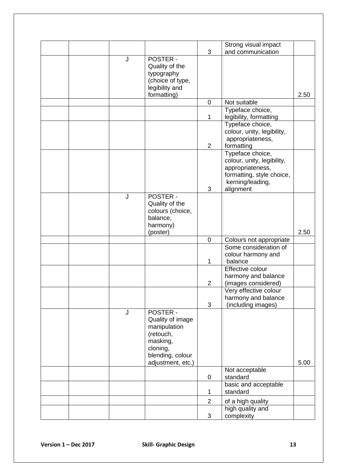| and communication<br>3<br>J<br><b>POSTER -</b><br>Quality of the<br>typography<br>(choice of type,<br>legibility and<br>formatting)<br>2.50<br>$\mathbf 0$<br>Not suitable<br>Typeface choice,<br>legibility, formatting<br>1<br>Typeface choice,<br>colour, unity, legibility,<br>appropriateness,<br>$\overline{2}$<br>formatting<br>Typeface choice,<br>colour, unity, legibility,<br>appropriateness,<br>formatting, style choice,<br>kerning/leading,<br>alignment<br>3<br>J<br><b>POSTER -</b><br>Quality of the<br>colours (choice,<br>balance,<br>harmony)<br>2.50<br>(poster)<br>$\mathbf 0$<br>Colours not appropriate<br>Some consideration of<br>colour harmony and<br>balance<br>1<br>Effective colour<br>harmony and balance<br>(images considered)<br>$\overline{2}$<br>Very effective colour<br>harmony and balance<br>3<br>(including images)<br><b>POSTER -</b><br>J<br>Quality of image<br>manipulation<br>(retouch,<br>masking,<br>cloning,<br>blending, colour<br>adjustment, etc.)<br>5.00<br>Not acceptable<br>standard<br>0<br>basic and acceptable<br>standard<br>1<br>$\overline{2}$<br>of a high quality<br>high quality and<br>3<br>complexity |                        |  | Strong visual impact |  |
|----------------------------------------------------------------------------------------------------------------------------------------------------------------------------------------------------------------------------------------------------------------------------------------------------------------------------------------------------------------------------------------------------------------------------------------------------------------------------------------------------------------------------------------------------------------------------------------------------------------------------------------------------------------------------------------------------------------------------------------------------------------------------------------------------------------------------------------------------------------------------------------------------------------------------------------------------------------------------------------------------------------------------------------------------------------------------------------------------------------------------------------------------------------------------|------------------------|--|----------------------|--|
|                                                                                                                                                                                                                                                                                                                                                                                                                                                                                                                                                                                                                                                                                                                                                                                                                                                                                                                                                                                                                                                                                                                                                                            |                        |  |                      |  |
|                                                                                                                                                                                                                                                                                                                                                                                                                                                                                                                                                                                                                                                                                                                                                                                                                                                                                                                                                                                                                                                                                                                                                                            |                        |  |                      |  |
|                                                                                                                                                                                                                                                                                                                                                                                                                                                                                                                                                                                                                                                                                                                                                                                                                                                                                                                                                                                                                                                                                                                                                                            |                        |  |                      |  |
|                                                                                                                                                                                                                                                                                                                                                                                                                                                                                                                                                                                                                                                                                                                                                                                                                                                                                                                                                                                                                                                                                                                                                                            |                        |  |                      |  |
|                                                                                                                                                                                                                                                                                                                                                                                                                                                                                                                                                                                                                                                                                                                                                                                                                                                                                                                                                                                                                                                                                                                                                                            |                        |  |                      |  |
|                                                                                                                                                                                                                                                                                                                                                                                                                                                                                                                                                                                                                                                                                                                                                                                                                                                                                                                                                                                                                                                                                                                                                                            |                        |  |                      |  |
|                                                                                                                                                                                                                                                                                                                                                                                                                                                                                                                                                                                                                                                                                                                                                                                                                                                                                                                                                                                                                                                                                                                                                                            |                        |  |                      |  |
|                                                                                                                                                                                                                                                                                                                                                                                                                                                                                                                                                                                                                                                                                                                                                                                                                                                                                                                                                                                                                                                                                                                                                                            |                        |  |                      |  |
|                                                                                                                                                                                                                                                                                                                                                                                                                                                                                                                                                                                                                                                                                                                                                                                                                                                                                                                                                                                                                                                                                                                                                                            |                        |  |                      |  |
|                                                                                                                                                                                                                                                                                                                                                                                                                                                                                                                                                                                                                                                                                                                                                                                                                                                                                                                                                                                                                                                                                                                                                                            |                        |  |                      |  |
|                                                                                                                                                                                                                                                                                                                                                                                                                                                                                                                                                                                                                                                                                                                                                                                                                                                                                                                                                                                                                                                                                                                                                                            |                        |  |                      |  |
|                                                                                                                                                                                                                                                                                                                                                                                                                                                                                                                                                                                                                                                                                                                                                                                                                                                                                                                                                                                                                                                                                                                                                                            |                        |  |                      |  |
|                                                                                                                                                                                                                                                                                                                                                                                                                                                                                                                                                                                                                                                                                                                                                                                                                                                                                                                                                                                                                                                                                                                                                                            |                        |  |                      |  |
|                                                                                                                                                                                                                                                                                                                                                                                                                                                                                                                                                                                                                                                                                                                                                                                                                                                                                                                                                                                                                                                                                                                                                                            |                        |  |                      |  |
|                                                                                                                                                                                                                                                                                                                                                                                                                                                                                                                                                                                                                                                                                                                                                                                                                                                                                                                                                                                                                                                                                                                                                                            |                        |  |                      |  |
|                                                                                                                                                                                                                                                                                                                                                                                                                                                                                                                                                                                                                                                                                                                                                                                                                                                                                                                                                                                                                                                                                                                                                                            |                        |  |                      |  |
|                                                                                                                                                                                                                                                                                                                                                                                                                                                                                                                                                                                                                                                                                                                                                                                                                                                                                                                                                                                                                                                                                                                                                                            |                        |  |                      |  |
|                                                                                                                                                                                                                                                                                                                                                                                                                                                                                                                                                                                                                                                                                                                                                                                                                                                                                                                                                                                                                                                                                                                                                                            |                        |  |                      |  |
|                                                                                                                                                                                                                                                                                                                                                                                                                                                                                                                                                                                                                                                                                                                                                                                                                                                                                                                                                                                                                                                                                                                                                                            |                        |  |                      |  |
|                                                                                                                                                                                                                                                                                                                                                                                                                                                                                                                                                                                                                                                                                                                                                                                                                                                                                                                                                                                                                                                                                                                                                                            |                        |  |                      |  |
|                                                                                                                                                                                                                                                                                                                                                                                                                                                                                                                                                                                                                                                                                                                                                                                                                                                                                                                                                                                                                                                                                                                                                                            |                        |  |                      |  |
|                                                                                                                                                                                                                                                                                                                                                                                                                                                                                                                                                                                                                                                                                                                                                                                                                                                                                                                                                                                                                                                                                                                                                                            |                        |  |                      |  |
|                                                                                                                                                                                                                                                                                                                                                                                                                                                                                                                                                                                                                                                                                                                                                                                                                                                                                                                                                                                                                                                                                                                                                                            |                        |  |                      |  |
|                                                                                                                                                                                                                                                                                                                                                                                                                                                                                                                                                                                                                                                                                                                                                                                                                                                                                                                                                                                                                                                                                                                                                                            |                        |  |                      |  |
|                                                                                                                                                                                                                                                                                                                                                                                                                                                                                                                                                                                                                                                                                                                                                                                                                                                                                                                                                                                                                                                                                                                                                                            |                        |  |                      |  |
|                                                                                                                                                                                                                                                                                                                                                                                                                                                                                                                                                                                                                                                                                                                                                                                                                                                                                                                                                                                                                                                                                                                                                                            |                        |  |                      |  |
|                                                                                                                                                                                                                                                                                                                                                                                                                                                                                                                                                                                                                                                                                                                                                                                                                                                                                                                                                                                                                                                                                                                                                                            |                        |  |                      |  |
|                                                                                                                                                                                                                                                                                                                                                                                                                                                                                                                                                                                                                                                                                                                                                                                                                                                                                                                                                                                                                                                                                                                                                                            |                        |  |                      |  |
|                                                                                                                                                                                                                                                                                                                                                                                                                                                                                                                                                                                                                                                                                                                                                                                                                                                                                                                                                                                                                                                                                                                                                                            |                        |  |                      |  |
|                                                                                                                                                                                                                                                                                                                                                                                                                                                                                                                                                                                                                                                                                                                                                                                                                                                                                                                                                                                                                                                                                                                                                                            |                        |  |                      |  |
|                                                                                                                                                                                                                                                                                                                                                                                                                                                                                                                                                                                                                                                                                                                                                                                                                                                                                                                                                                                                                                                                                                                                                                            |                        |  |                      |  |
|                                                                                                                                                                                                                                                                                                                                                                                                                                                                                                                                                                                                                                                                                                                                                                                                                                                                                                                                                                                                                                                                                                                                                                            |                        |  |                      |  |
|                                                                                                                                                                                                                                                                                                                                                                                                                                                                                                                                                                                                                                                                                                                                                                                                                                                                                                                                                                                                                                                                                                                                                                            |                        |  |                      |  |
|                                                                                                                                                                                                                                                                                                                                                                                                                                                                                                                                                                                                                                                                                                                                                                                                                                                                                                                                                                                                                                                                                                                                                                            |                        |  |                      |  |
|                                                                                                                                                                                                                                                                                                                                                                                                                                                                                                                                                                                                                                                                                                                                                                                                                                                                                                                                                                                                                                                                                                                                                                            |                        |  |                      |  |
|                                                                                                                                                                                                                                                                                                                                                                                                                                                                                                                                                                                                                                                                                                                                                                                                                                                                                                                                                                                                                                                                                                                                                                            |                        |  |                      |  |
|                                                                                                                                                                                                                                                                                                                                                                                                                                                                                                                                                                                                                                                                                                                                                                                                                                                                                                                                                                                                                                                                                                                                                                            |                        |  |                      |  |
|                                                                                                                                                                                                                                                                                                                                                                                                                                                                                                                                                                                                                                                                                                                                                                                                                                                                                                                                                                                                                                                                                                                                                                            |                        |  |                      |  |
|                                                                                                                                                                                                                                                                                                                                                                                                                                                                                                                                                                                                                                                                                                                                                                                                                                                                                                                                                                                                                                                                                                                                                                            |                        |  |                      |  |
|                                                                                                                                                                                                                                                                                                                                                                                                                                                                                                                                                                                                                                                                                                                                                                                                                                                                                                                                                                                                                                                                                                                                                                            |                        |  |                      |  |
|                                                                                                                                                                                                                                                                                                                                                                                                                                                                                                                                                                                                                                                                                                                                                                                                                                                                                                                                                                                                                                                                                                                                                                            |                        |  |                      |  |
|                                                                                                                                                                                                                                                                                                                                                                                                                                                                                                                                                                                                                                                                                                                                                                                                                                                                                                                                                                                                                                                                                                                                                                            |                        |  |                      |  |
|                                                                                                                                                                                                                                                                                                                                                                                                                                                                                                                                                                                                                                                                                                                                                                                                                                                                                                                                                                                                                                                                                                                                                                            |                        |  |                      |  |
|                                                                                                                                                                                                                                                                                                                                                                                                                                                                                                                                                                                                                                                                                                                                                                                                                                                                                                                                                                                                                                                                                                                                                                            |                        |  |                      |  |
|                                                                                                                                                                                                                                                                                                                                                                                                                                                                                                                                                                                                                                                                                                                                                                                                                                                                                                                                                                                                                                                                                                                                                                            |                        |  |                      |  |
| <b>Skill- Graphic Design</b><br>13                                                                                                                                                                                                                                                                                                                                                                                                                                                                                                                                                                                                                                                                                                                                                                                                                                                                                                                                                                                                                                                                                                                                         | Version $1 - Dec$ 2017 |  |                      |  |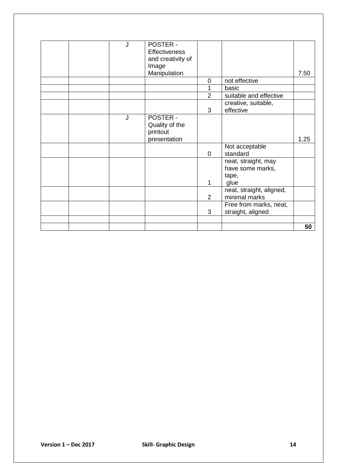|  | J | <b>POSTER -</b>      |                |                          |      |
|--|---|----------------------|----------------|--------------------------|------|
|  |   | <b>Effectiveness</b> |                |                          |      |
|  |   | and creativity of    |                |                          |      |
|  |   | Image                |                |                          |      |
|  |   | Manipulation         |                |                          | 7.50 |
|  |   |                      | $\overline{0}$ | not effective            |      |
|  |   |                      | 1              | basic                    |      |
|  |   |                      | $\overline{2}$ | suitable and effective   |      |
|  |   |                      |                | creative, suitable,      |      |
|  |   |                      | 3              | effective                |      |
|  | J | <b>POSTER -</b>      |                |                          |      |
|  |   | Quality of the       |                |                          |      |
|  |   | printout             |                |                          |      |
|  |   | presentation         |                |                          | 1.25 |
|  |   |                      |                | Not acceptable           |      |
|  |   |                      | $\overline{0}$ | standard                 |      |
|  |   |                      |                | neat, straight, may      |      |
|  |   |                      |                | have some marks,         |      |
|  |   |                      |                | tape,                    |      |
|  |   |                      | 1              | glue                     |      |
|  |   |                      |                | neat, straight, aligned, |      |
|  |   |                      | $\overline{2}$ | minimal marks            |      |
|  |   |                      |                | Free from marks, neat,   |      |
|  |   |                      | 3              | straight, aligned        |      |
|  |   |                      |                |                          |      |
|  |   |                      |                |                          | 50   |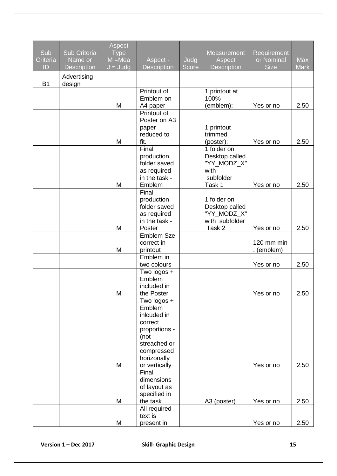| Sub<br>Criteria<br>ID | Sub Criteria<br>Name or<br><b>Description</b> | Aspect<br><b>Type</b><br>$M = Mea$<br>$J = J u dg$ | Aspect -<br><b>Description</b> | Judg<br><b>Score</b> | <b>Measurement</b><br>Aspect<br><b>Description</b> | Requirement<br>or Nominal<br><b>Size</b> | <b>Max</b><br><b>Mark</b> |
|-----------------------|-----------------------------------------------|----------------------------------------------------|--------------------------------|----------------------|----------------------------------------------------|------------------------------------------|---------------------------|
| <b>B1</b>             | Advertising<br>design                         |                                                    |                                |                      |                                                    |                                          |                           |
|                       |                                               |                                                    | Printout of                    |                      | 1 printout at                                      |                                          |                           |
|                       |                                               |                                                    | Emblem on                      |                      | 100%                                               |                                          |                           |
|                       |                                               | M                                                  | A4 paper                       |                      | (emblem);                                          | Yes or no                                | 2.50                      |
|                       |                                               |                                                    | Printout of<br>Poster on A3    |                      |                                                    |                                          |                           |
|                       |                                               |                                                    | paper                          |                      | 1 printout                                         |                                          |                           |
|                       |                                               |                                                    | reduced to                     |                      | trimmed                                            |                                          |                           |
|                       |                                               | M                                                  | fit.                           |                      | (poster);                                          | Yes or no                                | 2.50                      |
|                       |                                               |                                                    | Final                          |                      | $1$ folder on<br>Desktop called                    |                                          |                           |
|                       |                                               |                                                    | production<br>folder saved     |                      | "YY_MODZ_X"                                        |                                          |                           |
|                       |                                               |                                                    | as required                    |                      | with                                               |                                          |                           |
|                       |                                               |                                                    | in the task -                  |                      | subfolder                                          |                                          |                           |
|                       |                                               | M                                                  | Emblem                         |                      | Task 1                                             | Yes or no                                | 2.50                      |
|                       |                                               |                                                    | Final<br>production            |                      | 1 folder on                                        |                                          |                           |
|                       |                                               |                                                    | folder saved                   |                      | Desktop called                                     |                                          |                           |
|                       |                                               |                                                    | as required                    |                      | "YY_MODZ_X"                                        |                                          |                           |
|                       |                                               |                                                    | in the task -                  |                      | with subfolder                                     |                                          |                           |
|                       |                                               | M                                                  | Poster                         |                      | Task 2                                             | Yes or no                                | 2.50                      |
|                       |                                               |                                                    | <b>Emblem Sze</b>              |                      |                                                    | 120 mm min                               |                           |
|                       |                                               | M                                                  | correct in<br>printout         |                      |                                                    | (emblem)                                 |                           |
|                       |                                               |                                                    | Emblem in                      |                      |                                                    |                                          |                           |
|                       |                                               |                                                    | two colours                    |                      |                                                    | Yes or no                                | 2.50                      |
|                       |                                               |                                                    | Two logos +                    |                      |                                                    |                                          |                           |
|                       |                                               |                                                    | Emblem                         |                      |                                                    |                                          |                           |
|                       |                                               | M                                                  | included in<br>the Poster      |                      |                                                    | Yes or no                                | 2.50                      |
|                       |                                               |                                                    | Two logos +                    |                      |                                                    |                                          |                           |
|                       |                                               |                                                    | Emblem                         |                      |                                                    |                                          |                           |
|                       |                                               |                                                    | inlcuded in                    |                      |                                                    |                                          |                           |
|                       |                                               |                                                    | correct<br>proportions -       |                      |                                                    |                                          |                           |
|                       |                                               |                                                    | (not                           |                      |                                                    |                                          |                           |
|                       |                                               |                                                    | streached or                   |                      |                                                    |                                          |                           |
|                       |                                               |                                                    | compressed                     |                      |                                                    |                                          |                           |
|                       |                                               |                                                    | horizonally                    |                      |                                                    |                                          |                           |
|                       |                                               | M                                                  | or vertically<br>Final         |                      |                                                    | Yes or no                                | 2.50                      |
|                       |                                               |                                                    | dimensions                     |                      |                                                    |                                          |                           |
|                       |                                               |                                                    | of layout as                   |                      |                                                    |                                          |                           |
|                       |                                               |                                                    | specified in                   |                      |                                                    |                                          |                           |
|                       |                                               | M                                                  | the task                       |                      | A3 (poster)                                        | Yes or no                                | 2.50                      |
|                       |                                               |                                                    | All required<br>text is        |                      |                                                    |                                          |                           |
|                       |                                               | M                                                  | present in                     |                      |                                                    | Yes or no                                | 2.50                      |